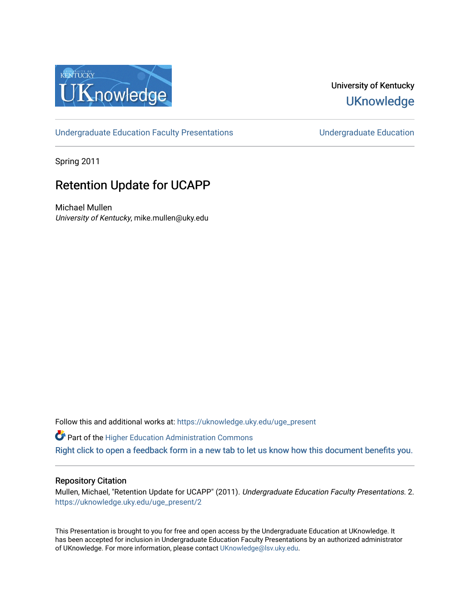

### University of Kentucky **UKnowledge**

[Undergraduate Education Faculty Presentations](https://uknowledge.uky.edu/uge_present) **Exercise Server Education** Undergraduate Education

Spring 2011

### Retention Update for UCAPP

Michael Mullen University of Kentucky, mike.mullen@uky.edu

Follow this and additional works at: [https://uknowledge.uky.edu/uge\\_present](https://uknowledge.uky.edu/uge_present?utm_source=uknowledge.uky.edu%2Fuge_present%2F2&utm_medium=PDF&utm_campaign=PDFCoverPages) 

**C** Part of the Higher Education Administration Commons [Right click to open a feedback form in a new tab to let us know how this document benefits you.](https://uky.az1.qualtrics.com/jfe/form/SV_9mq8fx2GnONRfz7)

#### Repository Citation

Mullen, Michael, "Retention Update for UCAPP" (2011). Undergraduate Education Faculty Presentations. 2. [https://uknowledge.uky.edu/uge\\_present/2](https://uknowledge.uky.edu/uge_present/2?utm_source=uknowledge.uky.edu%2Fuge_present%2F2&utm_medium=PDF&utm_campaign=PDFCoverPages) 

This Presentation is brought to you for free and open access by the Undergraduate Education at UKnowledge. It has been accepted for inclusion in Undergraduate Education Faculty Presentations by an authorized administrator of UKnowledge. For more information, please contact [UKnowledge@lsv.uky.edu.](mailto:UKnowledge@lsv.uky.edu)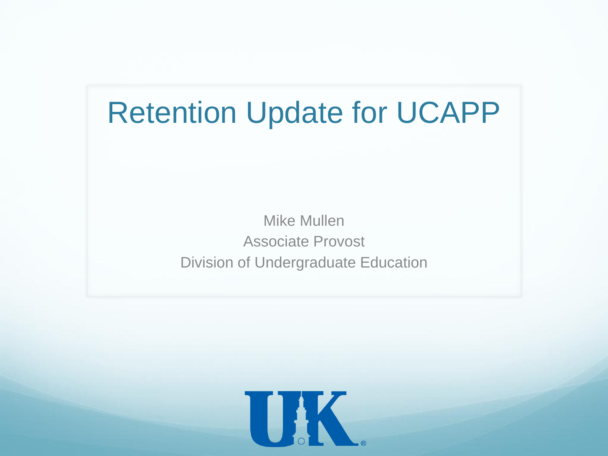## Retention Update for UCAPP

Mike Mullen Associate Provost Division of Undergraduate Education

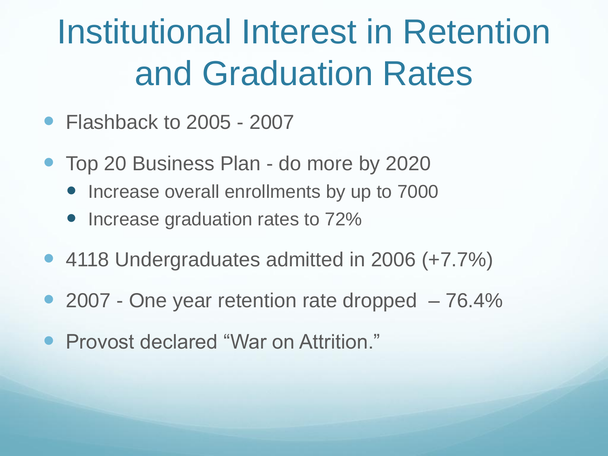## Institutional Interest in Retention and Graduation Rates

- Flashback to 2005 2007
- Top 20 Business Plan do more by 2020
	- Increase overall enrollments by up to 7000
	- Increase graduation rates to 72%
- 4118 Undergraduates admitted in 2006 (+7.7%)
- 2007 One year retention rate dropped 76.4%
- Provost declared "War on Attrition."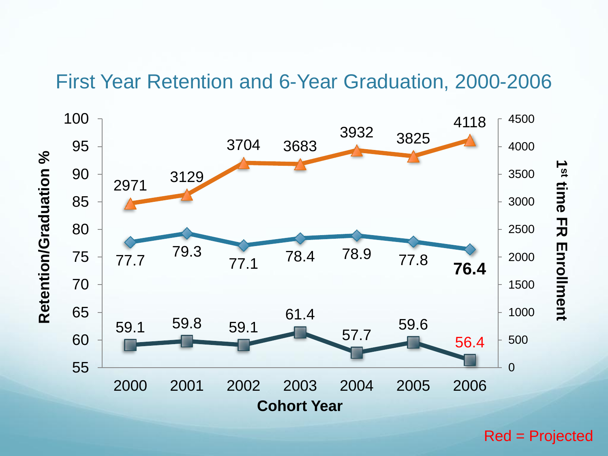### First Year Retention and 6-Year Graduation, 2000-2006



Red = Projected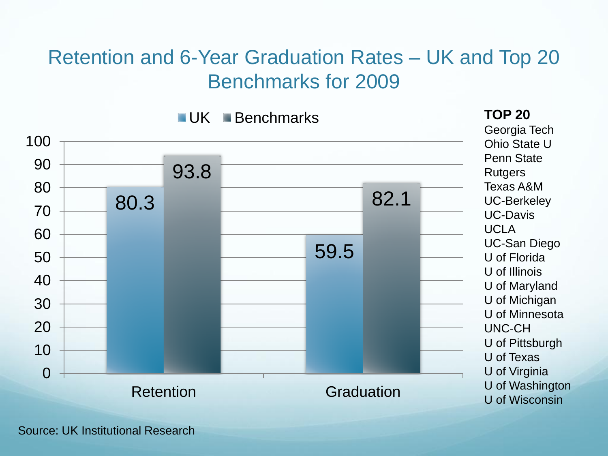### Retention and 6-Year Graduation Rates – UK and Top 20 Benchmarks for 2009



**UK** Benchmarks

Georgia Tech Ohio State U Penn State **Rutgers** Texas A&M UC-Berkeley UC-Davis UCLA UC-San Diego U of Florida U of Illinois U of Maryland U of Michigan U of Minnesota UNC-CH U of Pittsburgh U of Texas U of Virginia U of Washington U of Wisconsin

**TOP 20**

Source: UK Institutional Research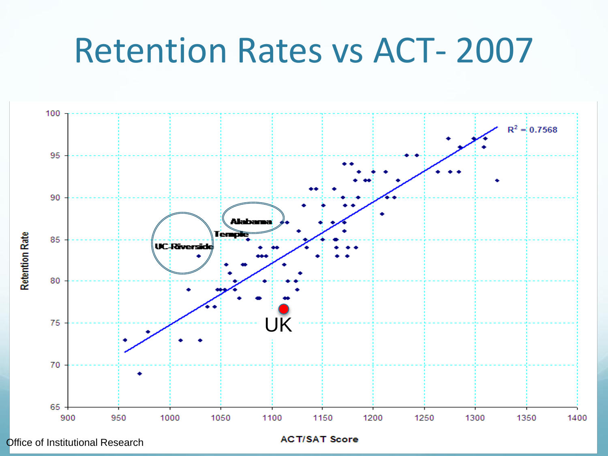## Retention Rates vs ACT- 2007



Office of Institutional Research

**ACT/SAT Score**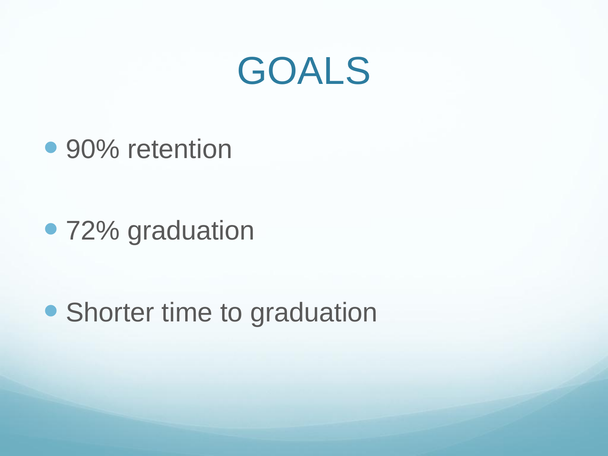

• 90% retention

• 72% graduation

• Shorter time to graduation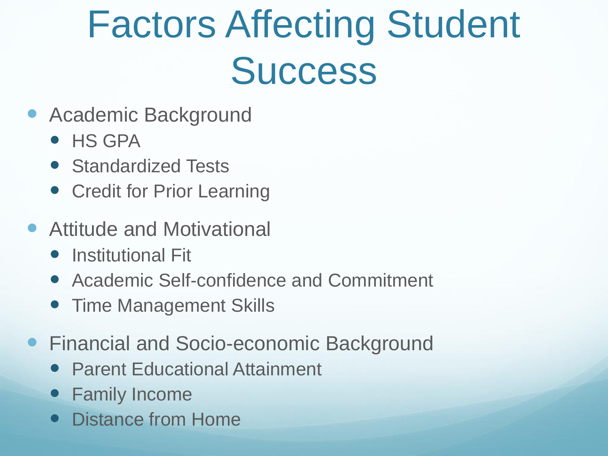# Factors Affecting Student **Success**

- Academic Background
	- HS GPA
	- Standardized Tests
	- Credit for Prior Learning
- Attitude and Motivational
	- Institutional Fit
	- Academic Self-confidence and Commitment
	- Time Management Skills
- **Financial and Socio-economic Background** 
	- Parent Educational Attainment
	- Family Income
	- Distance from Home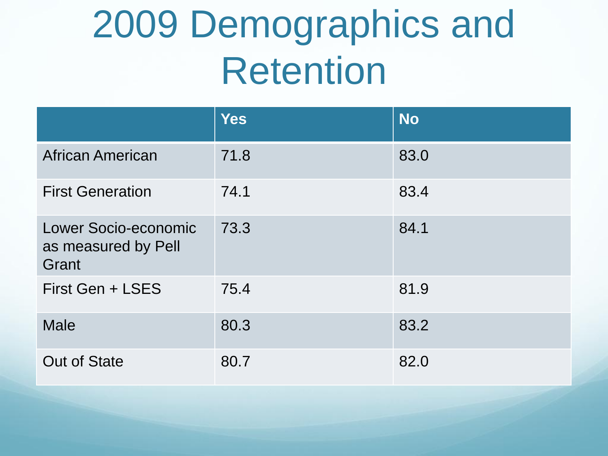# 2009 Demographics and Retention

|                                                      | <b>Yes</b> | <b>No</b> |
|------------------------------------------------------|------------|-----------|
| <b>African American</b>                              | 71.8       | 83.0      |
| <b>First Generation</b>                              | 74.1       | 83.4      |
| Lower Socio-economic<br>as measured by Pell<br>Grant | 73.3       | 84.1      |
| First Gen + LSES                                     | 75.4       | 81.9      |
| <b>Male</b>                                          | 80.3       | 83.2      |
| <b>Out of State</b>                                  | 80.7       | 82.0      |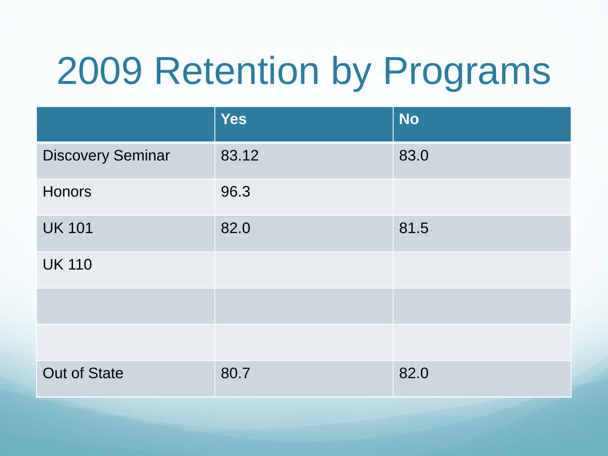# 2009 Retention by Programs

|                          | <b>Yes</b> | <b>No</b> |
|--------------------------|------------|-----------|
| <b>Discovery Seminar</b> | 83.12      | 83.0      |
| <b>Honors</b>            | 96.3       |           |
| <b>UK 101</b>            | 82.0       | 81.5      |
| <b>UK 110</b>            |            |           |
|                          |            |           |
|                          |            |           |
| <b>Out of State</b>      | 80.7       | 82.0      |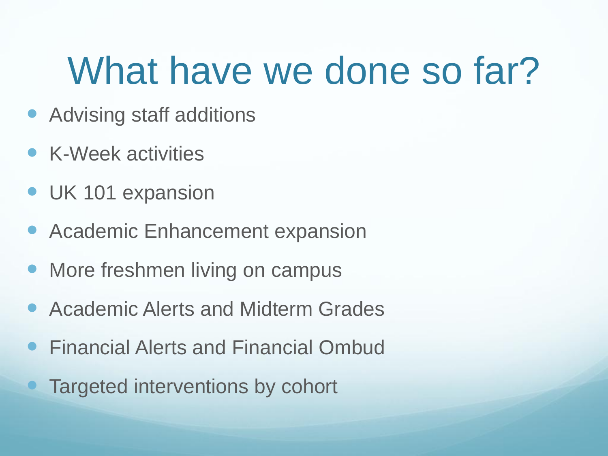# What have we done so far?

- Advising staff additions
- K-Week activities
- **UK 101 expansion**
- Academic Enhancement expansion
- More freshmen living on campus
- Academic Alerts and Midterm Grades
- Financial Alerts and Financial Ombud
- **Targeted interventions by cohort**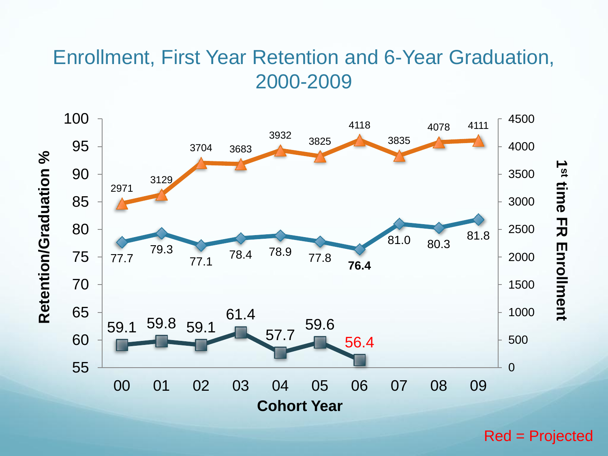### Enrollment, First Year Retention and 6-Year Graduation, 2000-2009



Red = Projected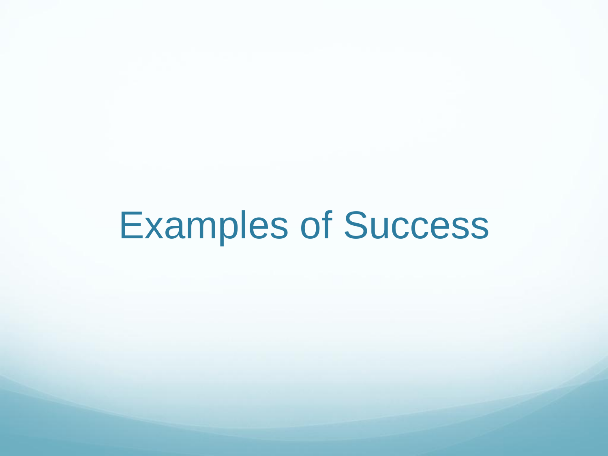## Examples of Success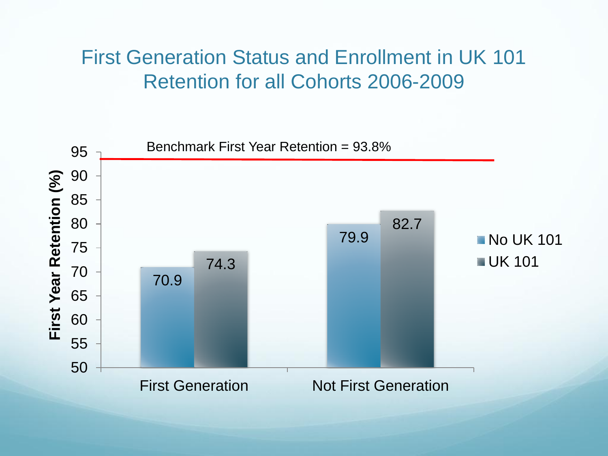### First Generation Status and Enrollment in UK 101 Retention for all Cohorts 2006-2009

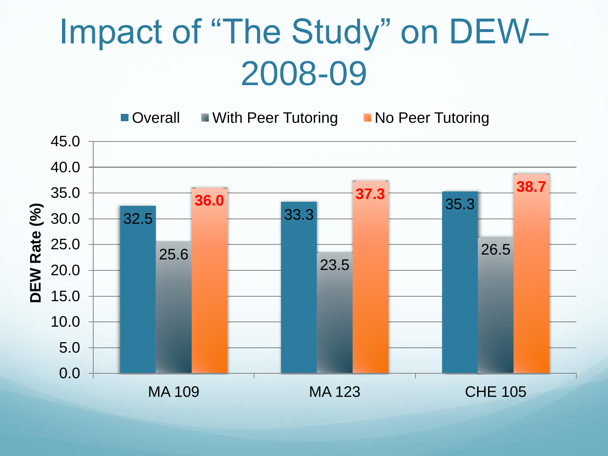## Impact of "The Study" on DEW– 2008-09

■ Overall ■ With Peer Tutoring ■ No Peer Tutoring

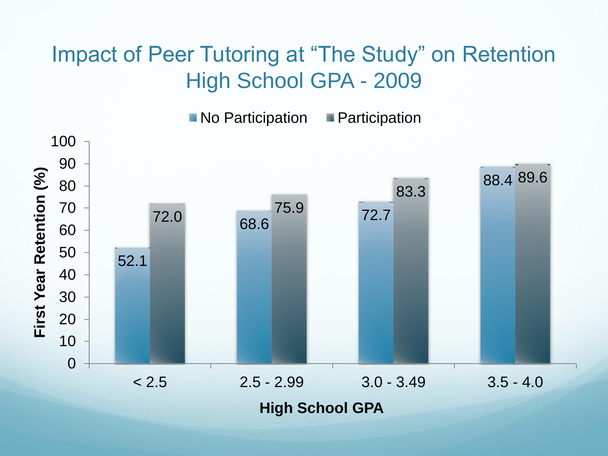## Impact of Peer Tutoring at "The Study" on Retention High School GPA - 2009

No Participation **Participation** 

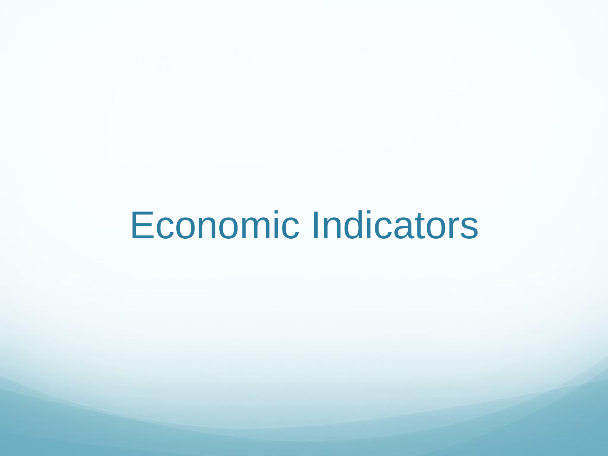# Economic Indicators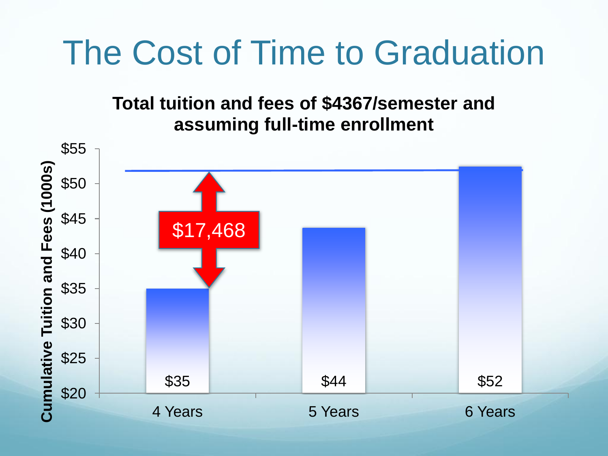## The Cost of Time to Graduation

### **Total tuition and fees of \$4367/semester and assuming full-time enrollment**

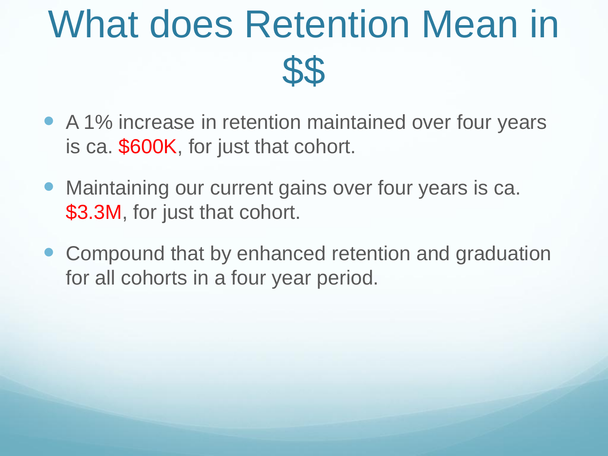# What does Retention Mean in \$\$

- A 1% increase in retention maintained over four years is ca. \$600K, for just that cohort.
- Maintaining our current gains over four years is ca. \$3.3M, for just that cohort.
- Compound that by enhanced retention and graduation for all cohorts in a four year period.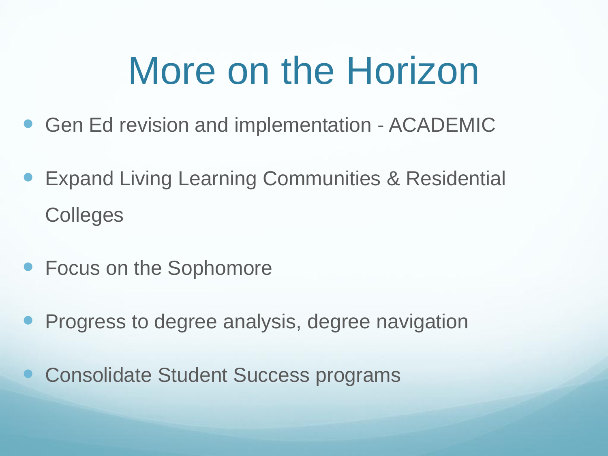# More on the Horizon

- **Gen Ed revision and implementation ACADEMIC**
- Expand Living Learning Communities & Residential Colleges
- Focus on the Sophomore
- Progress to degree analysis, degree navigation
- Consolidate Student Success programs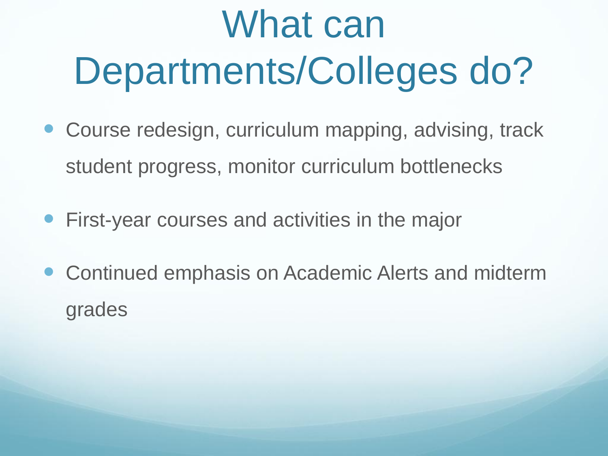# What can Departments/Colleges do?

- Course redesign, curriculum mapping, advising, track student progress, monitor curriculum bottlenecks
- First-year courses and activities in the major
- Continued emphasis on Academic Alerts and midterm grades